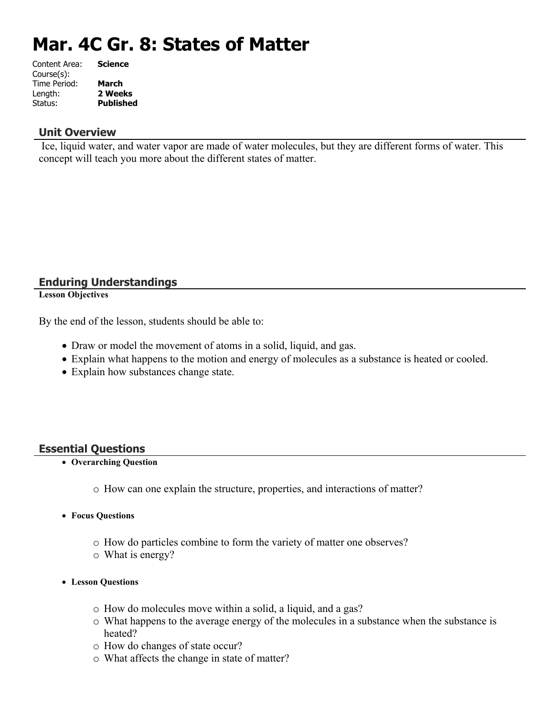# **Mar. 4C Gr. 8: States of Matter**

| <b>Science</b>   |
|------------------|
|                  |
|                  |
| 2 Weeks          |
| <b>Published</b> |
|                  |

#### **Unit Overview**

 Ice, liquid water, and water vapor are made of water molecules, but they are different forms of water. This concept will teach you more about the different states of matter.

## **Enduring Understandings**

**Lesson Objectives**

By the end of the lesson, students should be able to:

- Draw or model the movement of atoms in a solid, liquid, and gas.
- Explain what happens to the motion and energy of molecules as a substance is heated or cooled.
- Explain how substances change state.

## **Essential Questions**

- **Overarching Question**
	- o How can one explain the structure, properties, and interactions of matter?
- **Focus Questions**
	- o How do particles combine to form the variety of matter one observes?
	- o What is energy?
- **Lesson Questions**
	- o How do molecules move within a solid, a liquid, and a gas?
	- o What happens to the average energy of the molecules in a substance when the substance is heated?
	- o How do changes of state occur?
	- o What affects the change in state of matter?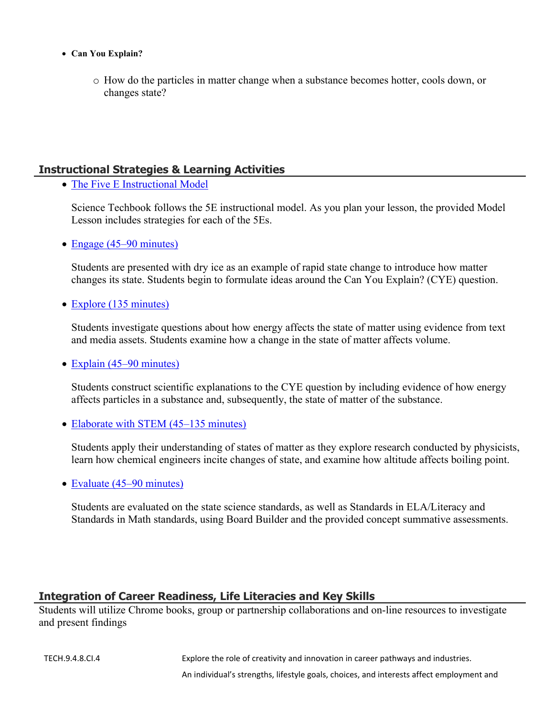- **Can You Explain?**
	- o How do the particles in matter change when a substance becomes hotter, cools down, or changes state?

## **Instructional Strategies & Learning Activities**

• [The Five E Instructional Model](https://app.discoveryeducation.com/learn/techbook/units/389ed5b9-f41a-40ff-9cbf-582ed6ae1bf1/concepts/59a4d73e-4f58-4833-9f27-5fed30b1f25c/lesson/sections/204157e3-f823-4225-be34-d5e75cf9185a#d3b4088b-3099-4175-9930-4e801849e6b0)

Science Techbook follows the 5E instructional model. As you plan your lesson, the provided Model Lesson includes strategies for each of the 5Es.

• [Engage \(45–90 minutes\)](https://app.discoveryeducation.com/learn/techbook/units/389ed5b9-f41a-40ff-9cbf-582ed6ae1bf1/concepts/59a4d73e-4f58-4833-9f27-5fed30b1f25c/lesson/sections/204157e3-f823-4225-be34-d5e75cf9185a#f533b54b-1023-4522-886d-3d829c4c28df)

Students are presented with dry ice as an example of rapid state change to introduce how matter changes its state. Students begin to formulate ideas around the Can You Explain? (CYE) question.

• [Explore \(135 minutes\)](https://app.discoveryeducation.com/learn/techbook/units/389ed5b9-f41a-40ff-9cbf-582ed6ae1bf1/concepts/59a4d73e-4f58-4833-9f27-5fed30b1f25c/lesson/sections/204157e3-f823-4225-be34-d5e75cf9185a#1643946a-c04f-4b66-a795-cafb61fc118e)

Students investigate questions about how energy affects the state of matter using evidence from text and media assets. Students examine how a change in the state of matter affects volume.

• [Explain \(45–90 minutes\)](https://app.discoveryeducation.com/learn/techbook/units/389ed5b9-f41a-40ff-9cbf-582ed6ae1bf1/concepts/59a4d73e-4f58-4833-9f27-5fed30b1f25c/lesson/sections/204157e3-f823-4225-be34-d5e75cf9185a#f30a8efc-fa71-48f0-a8a7-c74784300f72)

Students construct scientific explanations to the CYE question by including evidence of how energy affects particles in a substance and, subsequently, the state of matter of the substance.

• [Elaborate with STEM \(45–135 minutes\)](https://app.discoveryeducation.com/learn/techbook/units/389ed5b9-f41a-40ff-9cbf-582ed6ae1bf1/concepts/59a4d73e-4f58-4833-9f27-5fed30b1f25c/lesson/sections/204157e3-f823-4225-be34-d5e75cf9185a#7d03b06f-d407-45c4-9edf-35ea9dfa2d56)

Students apply their understanding of states of matter as they explore research conducted by physicists, learn how chemical engineers incite changes of state, and examine how altitude affects boiling point.

• [Evaluate \(45–90 minutes\)](https://app.discoveryeducation.com/learn/techbook/units/389ed5b9-f41a-40ff-9cbf-582ed6ae1bf1/concepts/59a4d73e-4f58-4833-9f27-5fed30b1f25c/lesson/sections/204157e3-f823-4225-be34-d5e75cf9185a#be8b5d0b-87ba-4cc1-be94-a4438e5ae86f)

Students are evaluated on the state science standards, as well as Standards in ELA/Literacy and Standards in Math standards, using Board Builder and the provided concept summative assessments.

## **Integration of Career Readiness, Life Literacies and Key Skills**

Students will utilize Chrome books, group or partnership collaborations and on-line resources to investigate and present findings

TECH.9.4.8.CI.4 Explore the role of creativity and innovation in career pathways and industries.

An individual's strengths, lifestyle goals, choices, and interests affect employment and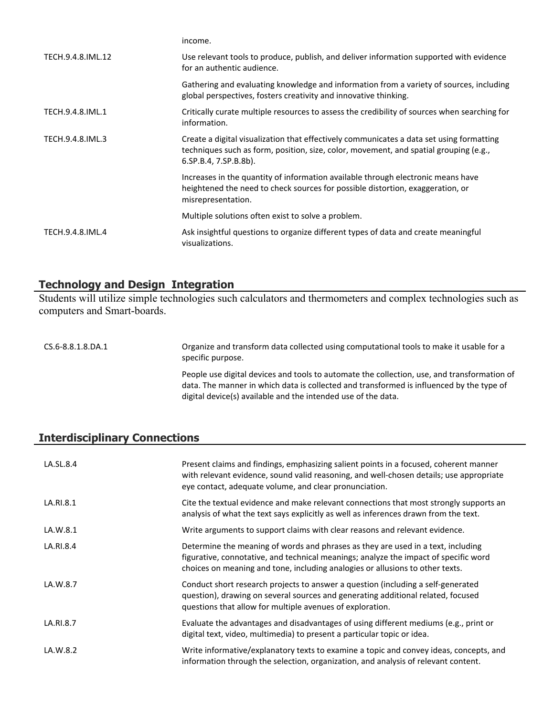|                   | income.                                                                                                                                                                                                    |
|-------------------|------------------------------------------------------------------------------------------------------------------------------------------------------------------------------------------------------------|
| TECH.9.4.8.IML.12 | Use relevant tools to produce, publish, and deliver information supported with evidence<br>for an authentic audience.                                                                                      |
|                   | Gathering and evaluating knowledge and information from a variety of sources, including<br>global perspectives, fosters creativity and innovative thinking.                                                |
| TECH.9.4.8.IML.1  | Critically curate multiple resources to assess the credibility of sources when searching for<br>information.                                                                                               |
| TECH.9.4.8.IML.3  | Create a digital visualization that effectively communicates a data set using formatting<br>techniques such as form, position, size, color, movement, and spatial grouping (e.g.,<br>6.SP.B.4, 7.SP.B.8b). |
|                   | Increases in the quantity of information available through electronic means have<br>heightened the need to check sources for possible distortion, exaggeration, or<br>misrepresentation.                   |
|                   | Multiple solutions often exist to solve a problem.                                                                                                                                                         |
| TECH.9.4.8.IML.4  | Ask insightful questions to organize different types of data and create meaningful<br>visualizations.                                                                                                      |

# **Technology and Design Integration**

Students will utilize simple technologies such calculators and thermometers and complex technologies such as computers and Smart-boards.

| CS.6-8.8.1.8.DA.1 | Organize and transform data collected using computational tools to make it usable for a<br>specific purpose.                                                                                                                                             |
|-------------------|----------------------------------------------------------------------------------------------------------------------------------------------------------------------------------------------------------------------------------------------------------|
|                   | People use digital devices and tools to automate the collection, use, and transformation of<br>data. The manner in which data is collected and transformed is influenced by the type of<br>digital device(s) available and the intended use of the data. |

# **Interdisciplinary Connections**

| LA.SL.8.4 | Present claims and findings, emphasizing salient points in a focused, coherent manner<br>with relevant evidence, sound valid reasoning, and well-chosen details; use appropriate<br>eye contact, adequate volume, and clear pronunciation.                |
|-----------|-----------------------------------------------------------------------------------------------------------------------------------------------------------------------------------------------------------------------------------------------------------|
| LA.RI.8.1 | Cite the textual evidence and make relevant connections that most strongly supports an<br>analysis of what the text says explicitly as well as inferences drawn from the text.                                                                            |
| LA.W.8.1  | Write arguments to support claims with clear reasons and relevant evidence.                                                                                                                                                                               |
| LA.RI.8.4 | Determine the meaning of words and phrases as they are used in a text, including<br>figurative, connotative, and technical meanings; analyze the impact of specific word<br>choices on meaning and tone, including analogies or allusions to other texts. |
| LA.W.8.7  | Conduct short research projects to answer a question (including a self-generated<br>question), drawing on several sources and generating additional related, focused<br>questions that allow for multiple avenues of exploration.                         |
| LA.RI.8.7 | Evaluate the advantages and disadvantages of using different mediums (e.g., print or<br>digital text, video, multimedia) to present a particular topic or idea.                                                                                           |
| LA.W.8.2  | Write informative/explanatory texts to examine a topic and convey ideas, concepts, and<br>information through the selection, organization, and analysis of relevant content.                                                                              |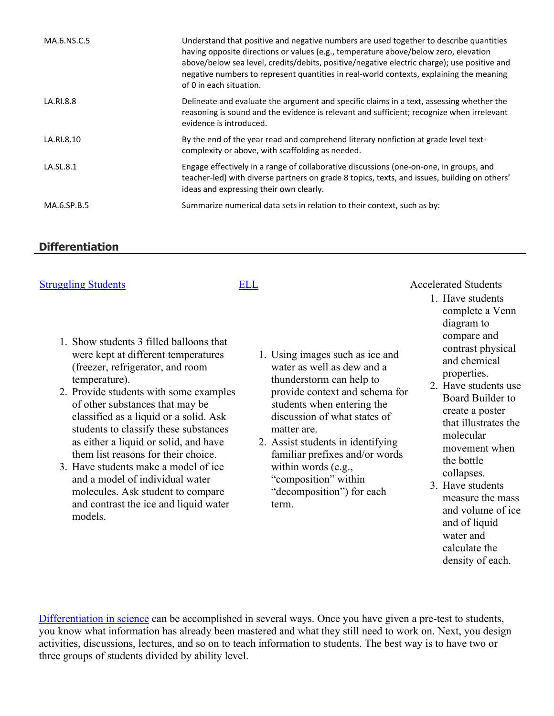| MA.6.NS.C.5 | Understand that positive and negative numbers are used together to describe quantities<br>having opposite directions or values (e.g., temperature above/below zero, elevation<br>above/below sea level, credits/debits, positive/negative electric charge); use positive and<br>negative numbers to represent quantities in real-world contexts, explaining the meaning<br>of 0 in each situation. |
|-------------|----------------------------------------------------------------------------------------------------------------------------------------------------------------------------------------------------------------------------------------------------------------------------------------------------------------------------------------------------------------------------------------------------|
| LA.RI.8.8   | Delineate and evaluate the argument and specific claims in a text, assessing whether the<br>reasoning is sound and the evidence is relevant and sufficient; recognize when irrelevant<br>evidence is introduced.                                                                                                                                                                                   |
| LA.RI.8.10  | By the end of the year read and comprehend literary nonfiction at grade level text-<br>complexity or above, with scaffolding as needed.                                                                                                                                                                                                                                                            |
| LA.SL.8.1   | Engage effectively in a range of collaborative discussions (one-on-one, in groups, and<br>teacher-led) with diverse partners on grade 8 topics, texts, and issues, building on others'<br>ideas and expressing their own clearly.                                                                                                                                                                  |
| MA.6.SP.B.5 | Summarize numerical data sets in relation to their context, such as by:                                                                                                                                                                                                                                                                                                                            |

## **Differentiation**

|  | <b>Struggling Students</b> |  |
|--|----------------------------|--|
|  |                            |  |

|  | v |
|--|---|

- 1. Show students 3 filled balloons that were kept at different temperatures (freezer, refrigerator, and room temperature).
- 2. Provide students with some examples of other substances that may be classified as a liquid or a solid. Ask students to classify these substances as either a liquid or solid, and have them list reasons for their choice.
- 3. Have students make a model of ice and a model of individual water molecules. Ask student to compare and contrast the ice and liquid water models.
- 1. Using images such as ice and water as well as dew and a thunderstorm can help to provide context and schema for students when entering the discussion of what states of matter are.
- 2. Assist students in identifying familiar prefixes and/or words within words (e.g., "composition" within "decomposition") for each term.
- Accelerated Students
	- 1. Have students complete a Venn diagram to compare and contrast physical and chemical properties.
	- 2. Have students use Board Builder to create a poster that illustrates the molecular movement when the bottle collapses.
	- 3. Have students measure the mass and volume of ice and of liquid water and calculate the density of each.

[Differentiation in science](http://www.brighthubeducation.com/teaching-gifted-students/65181-differentiation-techniques-and-activities-in-the-classroom-for-gifted-students/) can be accomplished in several ways. Once you have given a pre-test to students, you know what information has already been mastered and what they still need to work on. Next, you design activities, discussions, lectures, and so on to teach information to students. The best way is to have two or three groups of students divided by ability level.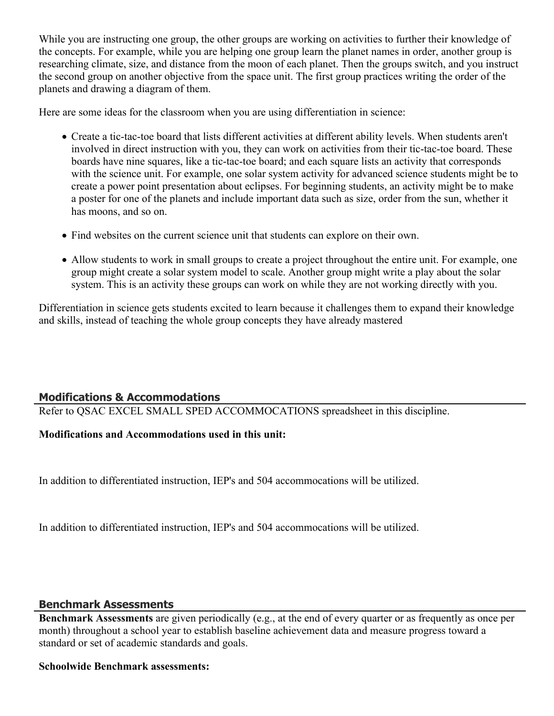While you are instructing one group, the other groups are working on activities to further their knowledge of the concepts. For example, while you are helping one group learn the planet names in order, another group is researching climate, size, and distance from the moon of each planet. Then the groups switch, and you instruct the second group on another objective from the space unit. The first group practices writing the order of the planets and drawing a diagram of them.

Here are some ideas for the classroom when you are using differentiation in science:

- Create a tic-tac-toe board that lists different activities at different ability levels. When students aren't involved in direct instruction with you, they can work on activities from their tic-tac-toe board. These boards have nine squares, like a tic-tac-toe board; and each square lists an activity that corresponds with the science unit. For example, one solar system activity for advanced science students might be to create a power point presentation about eclipses. For beginning students, an activity might be to make a poster for one of the planets and include important data such as size, order from the sun, whether it has moons, and so on.
- Find websites on the current science unit that students can explore on their own.
- Allow students to work in small groups to create a project throughout the entire unit. For example, one group might create a solar system model to scale. Another group might write a play about the solar system. This is an activity these groups can work on while they are not working directly with you.

Differentiation in science gets students excited to learn because it challenges them to expand their knowledge and skills, instead of teaching the whole group concepts they have already mastered

# **Modifications & Accommodations**

Refer to QSAC EXCEL SMALL SPED ACCOMMOCATIONS spreadsheet in this discipline.

# **Modifications and Accommodations used in this unit:**

In addition to differentiated instruction, IEP's and 504 accommocations will be utilized.

In addition to differentiated instruction, IEP's and 504 accommocations will be utilized.

## **Benchmark Assessments**

**Benchmark Assessments** are given periodically (e.g., at the end of every quarter or as frequently as once per month) throughout a school year to establish baseline achievement data and measure progress toward a standard or set of academic standards and goals.

## **Schoolwide Benchmark assessments:**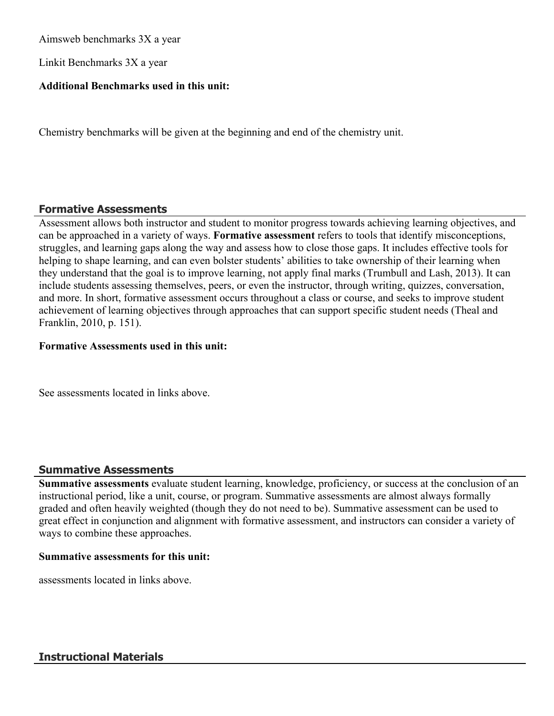Aimsweb benchmarks 3X a year

Linkit Benchmarks 3X a year

### **Additional Benchmarks used in this unit:**

Chemistry benchmarks will be given at the beginning and end of the chemistry unit.

#### **Formative Assessments**

Assessment allows both instructor and student to monitor progress towards achieving learning objectives, and can be approached in a variety of ways. **Formative assessment** refers to tools that identify misconceptions, struggles, and learning gaps along the way and assess how to close those gaps. It includes effective tools for helping to shape learning, and can even bolster students' abilities to take ownership of their learning when they understand that the goal is to improve learning, not apply final marks (Trumbull and Lash, 2013). It can include students assessing themselves, peers, or even the instructor, through writing, quizzes, conversation, and more. In short, formative assessment occurs throughout a class or course, and seeks to improve student achievement of learning objectives through approaches that can support specific student needs (Theal and Franklin, 2010, p. 151).

#### **Formative Assessments used in this unit:**

See assessments located in links above.

#### **Summative Assessments**

**Summative assessments** evaluate student learning, knowledge, proficiency, or success at the conclusion of an instructional period, like a unit, course, or program. Summative assessments are almost always formally graded and often heavily weighted (though they do not need to be). Summative assessment can be used to great effect in conjunction and alignment with formative assessment, and instructors can consider a variety of ways to combine these approaches.

#### **Summative assessments for this unit:**

assessments located in links above.